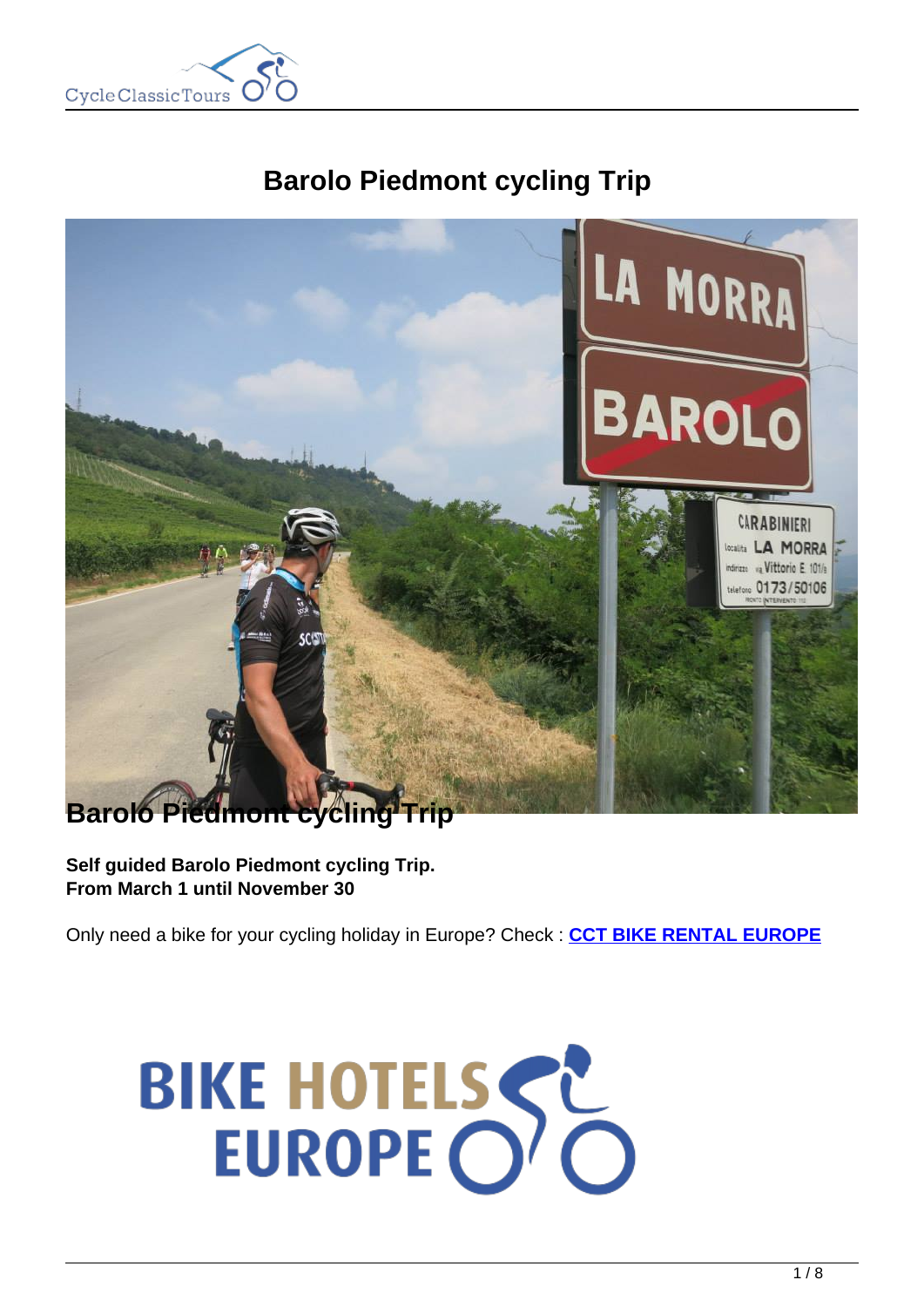

# **Barolo Piedmont cycling Trip**



**Self guided Barolo Piedmont cycling Trip. From March 1 until November 30**

Only need a bike for your cycling holiday in Europe? Check : **[CCT BIKE RENTAL EUROPE](https://www.cctbikerental.com/)**

# BIKE HOTELSSE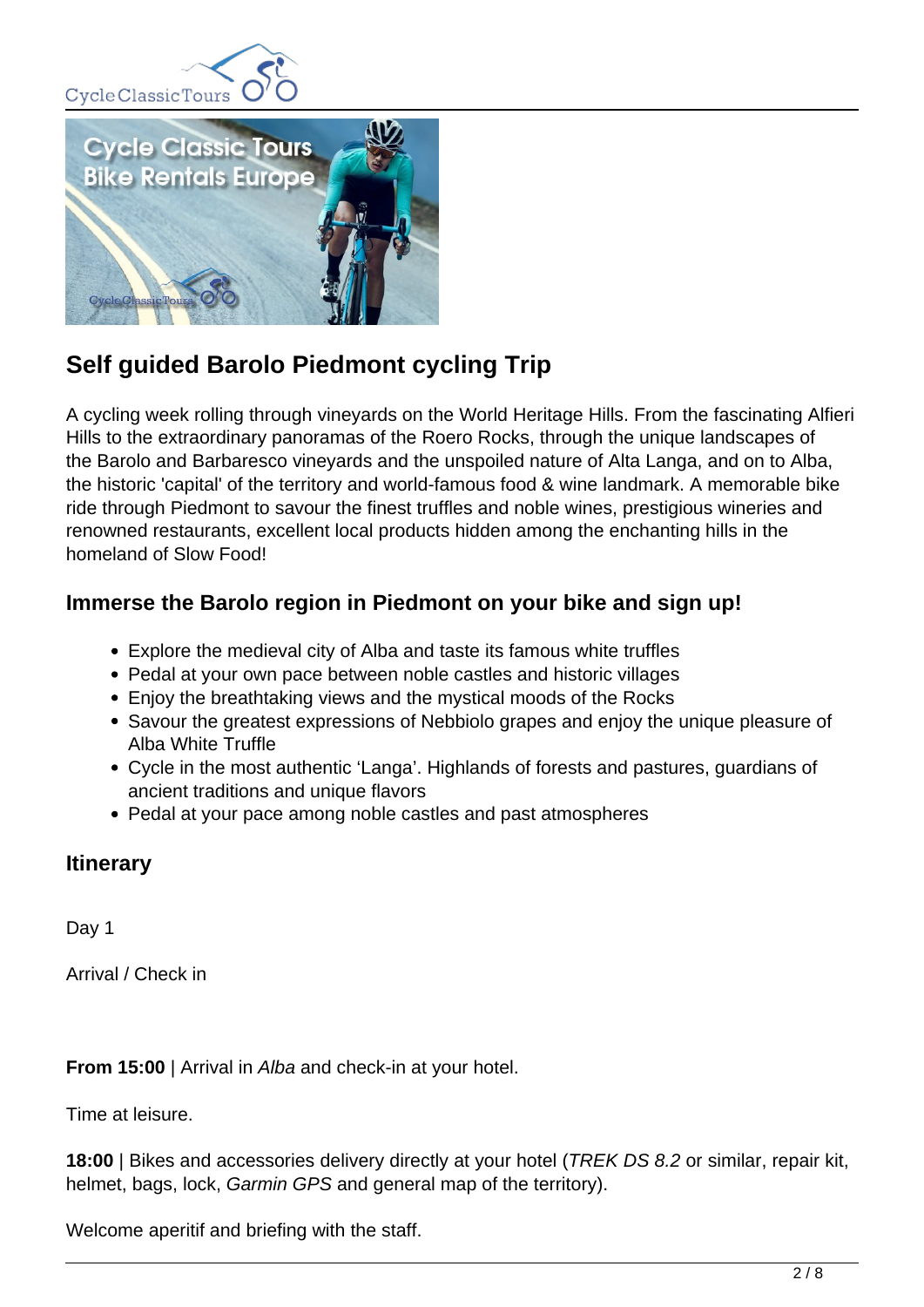



## **Self guided Barolo Piedmont cycling Trip**

A cycling week rolling through vineyards on the World Heritage Hills. From the fascinating Alfieri Hills to the extraordinary panoramas of the Roero Rocks, through the unique landscapes of the Barolo and Barbaresco vineyards and the unspoiled nature of Alta Langa, and on to Alba, the historic 'capital' of the territory and world-famous food & wine landmark. A memorable bike ride through Piedmont to savour the finest truffles and noble wines, prestigious wineries and renowned restaurants, excellent local products hidden among the enchanting hills in the homeland of Slow Food!

#### **Immerse the Barolo region in Piedmont on your bike and sign up!**

- Explore the medieval city of Alba and taste its famous white truffles
- Pedal at your own pace between noble castles and historic villages
- Enjoy the breathtaking views and the mystical moods of the Rocks
- Savour the greatest expressions of Nebbiolo grapes and enjoy the unique pleasure of Alba White Truffle
- Cycle in the most authentic 'Langa'. Highlands of forests and pastures, guardians of ancient traditions and unique flavors
- Pedal at your pace among noble castles and past atmospheres

### **Itinerary**

Day 1

Arrival / Check in

**From 15:00** | Arrival in Alba and check-in at your hotel.

Time at leisure.

**18:00** | Bikes and accessories delivery directly at your hotel (*TREK DS 8.2* or similar, repair kit, helmet, bags, lock, Garmin GPS and general map of the territory).

Welcome aperitif and briefing with the staff.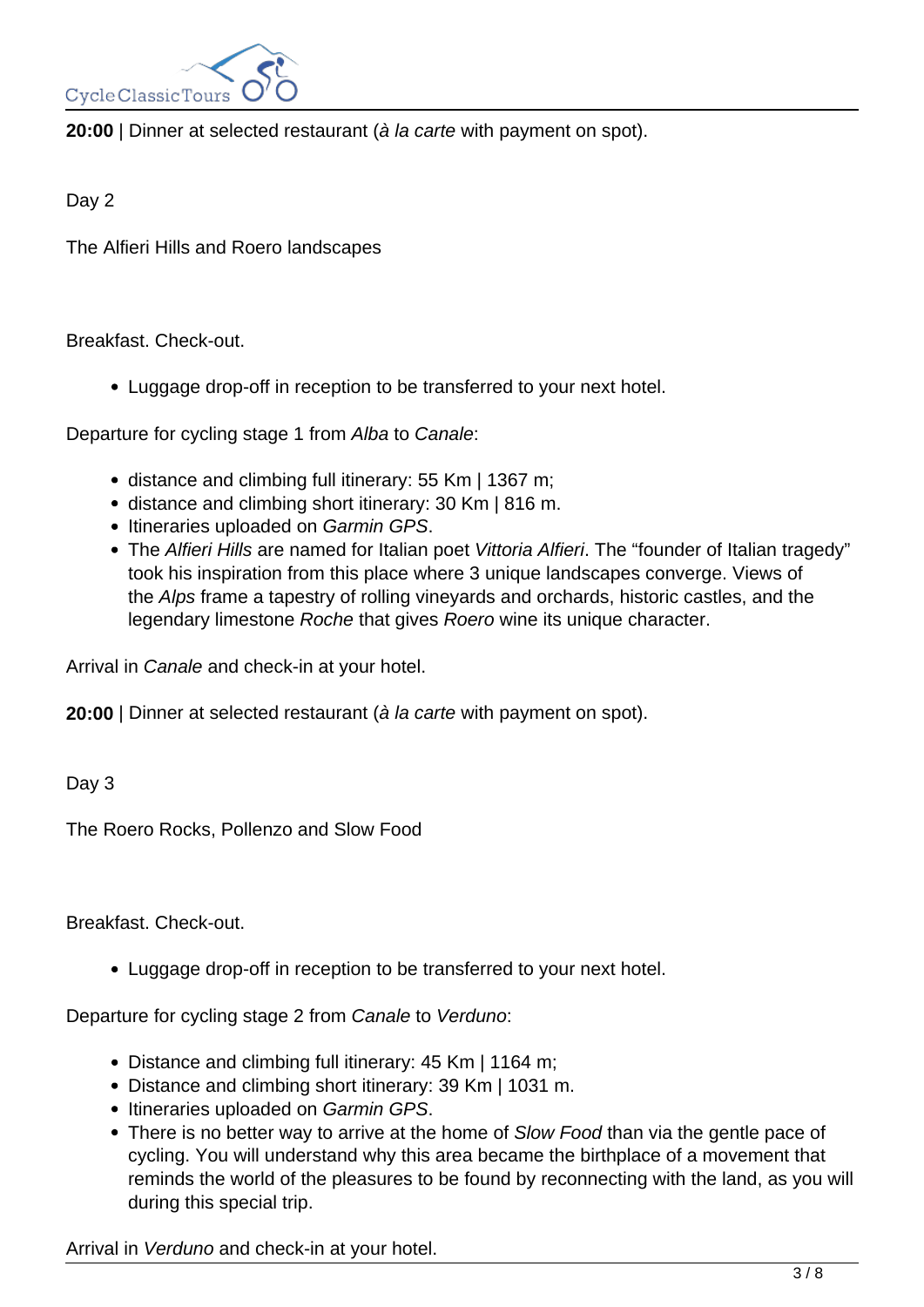

**20:00** | Dinner at selected restaurant (à la carte with payment on spot).

Day 2

The Alfieri Hills and Roero landscapes

Breakfast. Check-out.

Luggage drop-off in reception to be transferred to your next hotel.

Departure for cycling stage 1 from Alba to Canale:

- distance and climbing full itinerary: 55 Km | 1367 m;
- distance and climbing short itinerary: 30 Km | 816 m.
- Itineraries uploaded on Garmin GPS.
- The Alfieri Hills are named for Italian poet Vittoria Alfieri. The "founder of Italian tragedy" took his inspiration from this place where 3 unique landscapes converge. Views of the Alps frame a tapestry of rolling vineyards and orchards, historic castles, and the legendary limestone Roche that gives Roero wine its unique character.

Arrival in Canale and check-in at your hotel.

**20:00** | Dinner at selected restaurant (à la carte with payment on spot).

Day 3

The Roero Rocks, Pollenzo and Slow Food

Breakfast. Check-out.

Luggage drop-off in reception to be transferred to your next hotel.

Departure for cycling stage 2 from Canale to Verduno:

- Distance and climbing full itinerary: 45 Km | 1164 m;
- Distance and climbing short itinerary: 39 Km | 1031 m.
- Itineraries uploaded on Garmin GPS.
- There is no better way to arrive at the home of Slow Food than via the gentle pace of cycling. You will understand why this area became the birthplace of a movement that reminds the world of the pleasures to be found by reconnecting with the land, as you will during this special trip.

Arrival in Verduno and check-in at your hotel.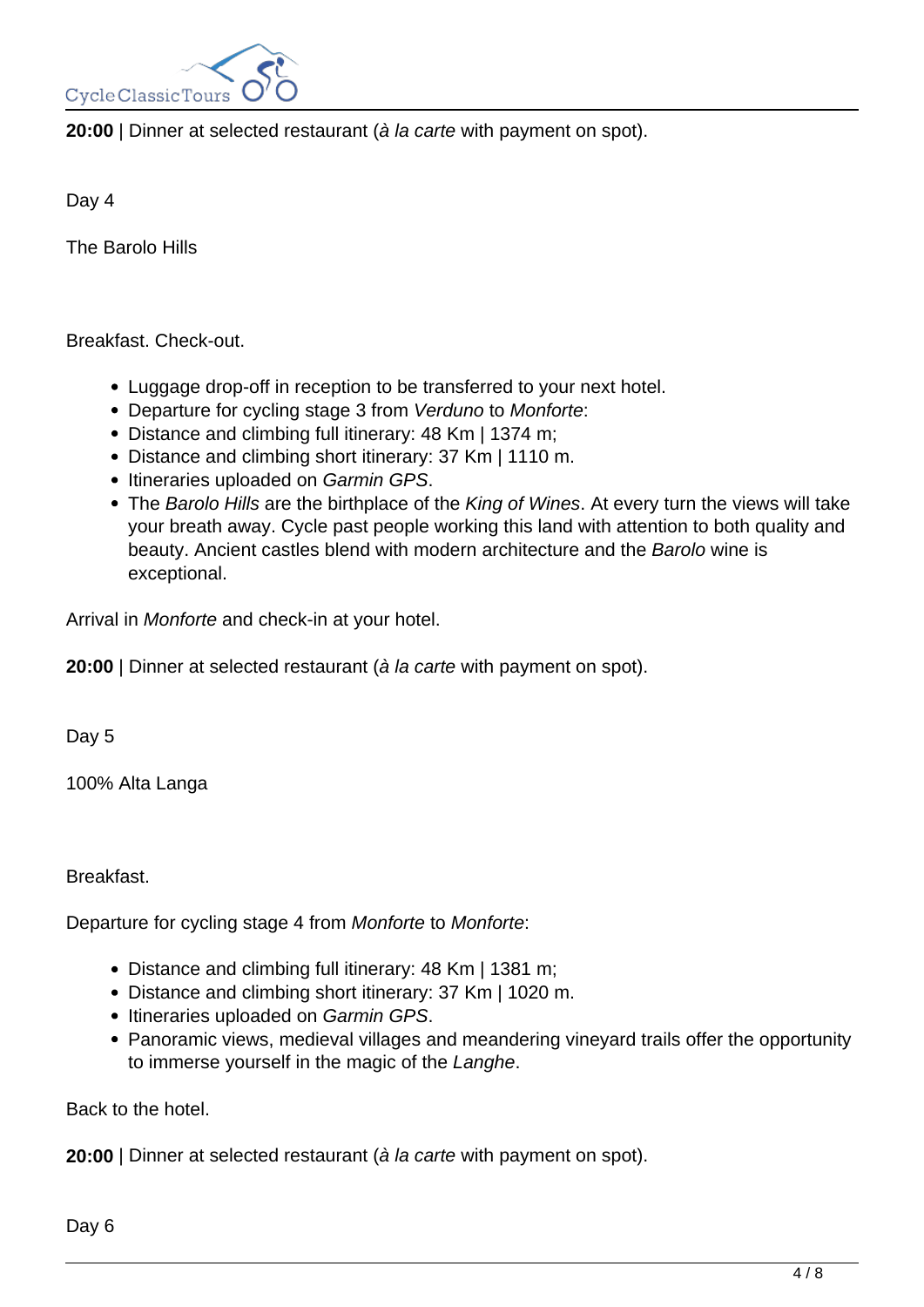

**20:00** | Dinner at selected restaurant (à la carte with payment on spot).

Day 4

The Barolo Hills

Breakfast. Check-out.

- Luggage drop-off in reception to be transferred to your next hotel.
- Departure for cycling stage 3 from Verduno to Monforte:
- Distance and climbing full itinerary: 48 Km | 1374 m;
- Distance and climbing short itinerary: 37 Km | 1110 m.
- Itineraries uploaded on Garmin GPS.
- The Barolo Hills are the birthplace of the King of Wines. At every turn the views will take your breath away. Cycle past people working this land with attention to both quality and beauty. Ancient castles blend with modern architecture and the Barolo wine is exceptional.

Arrival in Monforte and check-in at your hotel.

**20:00** | Dinner at selected restaurant (à la carte with payment on spot).

Day 5

100% Alta Langa

Breakfast.

Departure for cycling stage 4 from Monforte to Monforte:

- Distance and climbing full itinerary: 48 Km | 1381 m;
- Distance and climbing short itinerary: 37 Km | 1020 m.
- Itineraries uploaded on Garmin GPS.
- Panoramic views, medieval villages and meandering vineyard trails offer the opportunity to immerse yourself in the magic of the Langhe.

Back to the hotel.

**20:00** | Dinner at selected restaurant (à la carte with payment on spot).

Day 6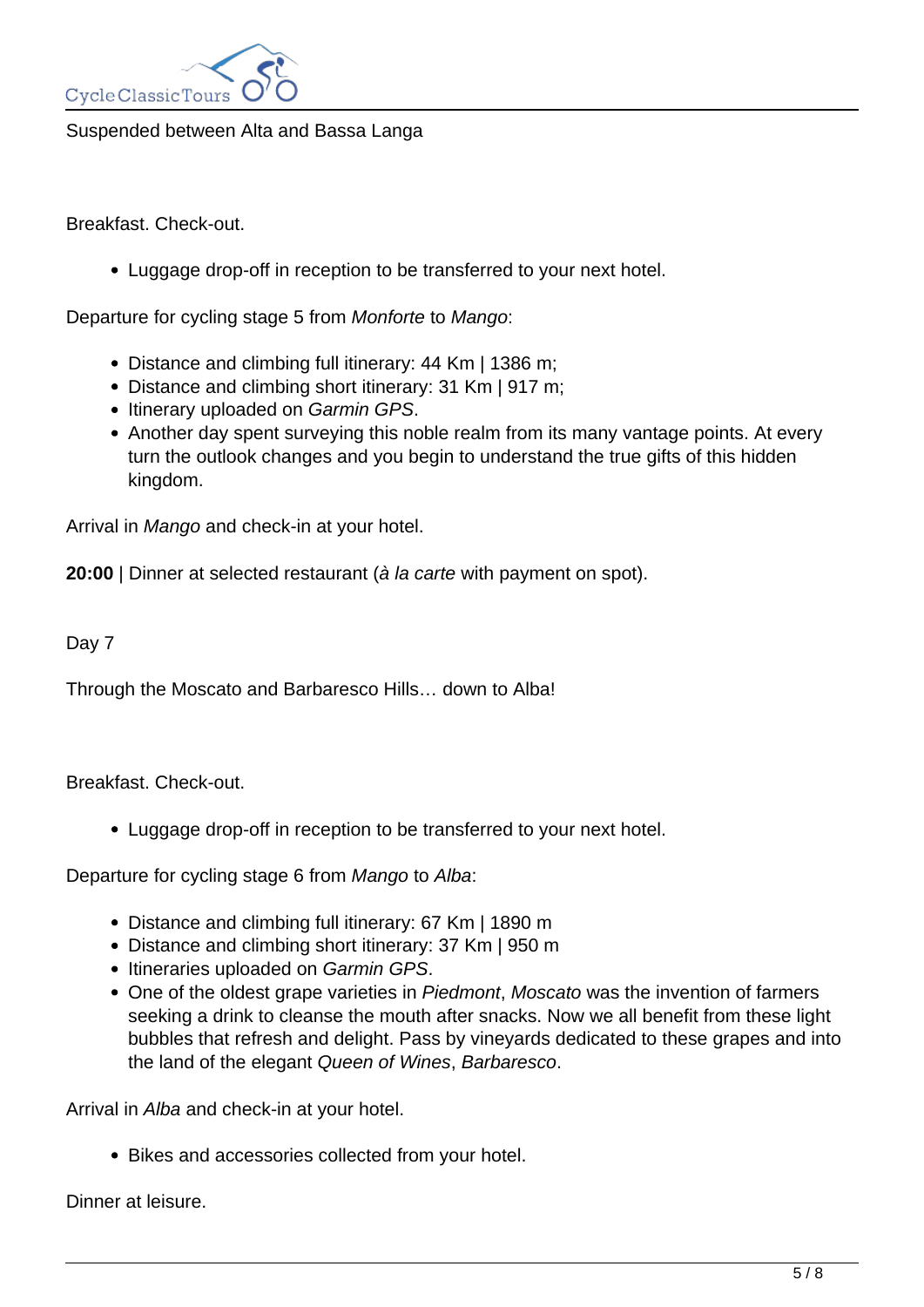

Suspended between Alta and Bassa Langa

Breakfast. Check-out.

Luggage drop-off in reception to be transferred to your next hotel.

Departure for cycling stage 5 from Monforte to Mango:

- Distance and climbing full itinerary: 44 Km | 1386 m;
- Distance and climbing short itinerary: 31 Km | 917 m;
- Itinerary uploaded on Garmin GPS.
- Another day spent surveying this noble realm from its many vantage points. At every turn the outlook changes and you begin to understand the true gifts of this hidden kingdom.

Arrival in Mango and check-in at your hotel.

**20:00** | Dinner at selected restaurant (à la carte with payment on spot).

#### Day 7

Through the Moscato and Barbaresco Hills… down to Alba!

Breakfast. Check-out.

Luggage drop-off in reception to be transferred to your next hotel.

Departure for cycling stage 6 from Mango to Alba:

- Distance and climbing full itinerary: 67 Km | 1890 m
- Distance and climbing short itinerary: 37 Km | 950 m
- Itineraries uploaded on Garmin GPS.
- One of the oldest grape varieties in Piedmont, Moscato was the invention of farmers seeking a drink to cleanse the mouth after snacks. Now we all benefit from these light bubbles that refresh and delight. Pass by vineyards dedicated to these grapes and into the land of the elegant Queen of Wines, Barbaresco.

Arrival in Alba and check-in at your hotel.

Bikes and accessories collected from your hotel.

Dinner at leisure.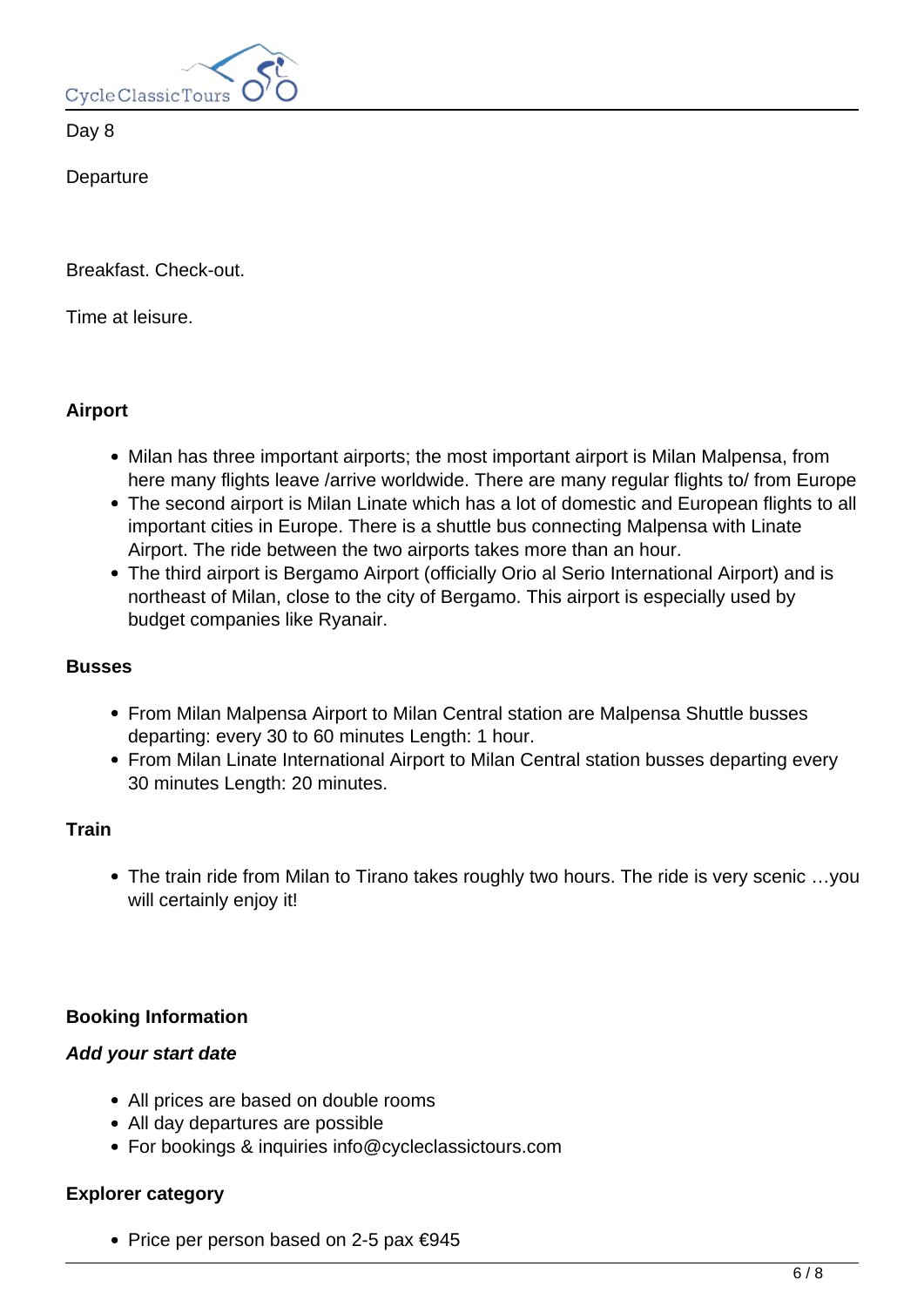

Day 8

**Departure** 

Breakfast. Check-out.

Time at leisure.

#### **Airport**

- Milan has three important airports; the most important airport is Milan Malpensa, from here many flights leave /arrive worldwide. There are many regular flights to/ from Europe
- The second airport is Milan Linate which has a lot of domestic and European flights to all important cities in Europe. There is a shuttle bus connecting Malpensa with Linate Airport. The ride between the two airports takes more than an hour.
- The third airport is Bergamo Airport (officially Orio al Serio International Airport) and is northeast of Milan, close to the city of Bergamo. This airport is especially used by budget companies like Ryanair.

#### **Busses**

- From Milan Malpensa Airport to Milan Central station are Malpensa Shuttle busses departing: every 30 to 60 minutes Length: 1 hour.
- From Milan Linate International Airport to Milan Central station busses departing every 30 minutes Length: 20 minutes.

#### **Train**

The train ride from Milan to Tirano takes roughly two hours. The ride is very scenic …you will certainly enjoy it!

#### **Booking Information**

#### **Add your start date**

- All prices are based on double rooms
- All day departures are possible
- For bookings & inquiries info@cycleclassictours.com

#### **Explorer category**

• Price per person based on 2-5 pax  $\epsilon$ 945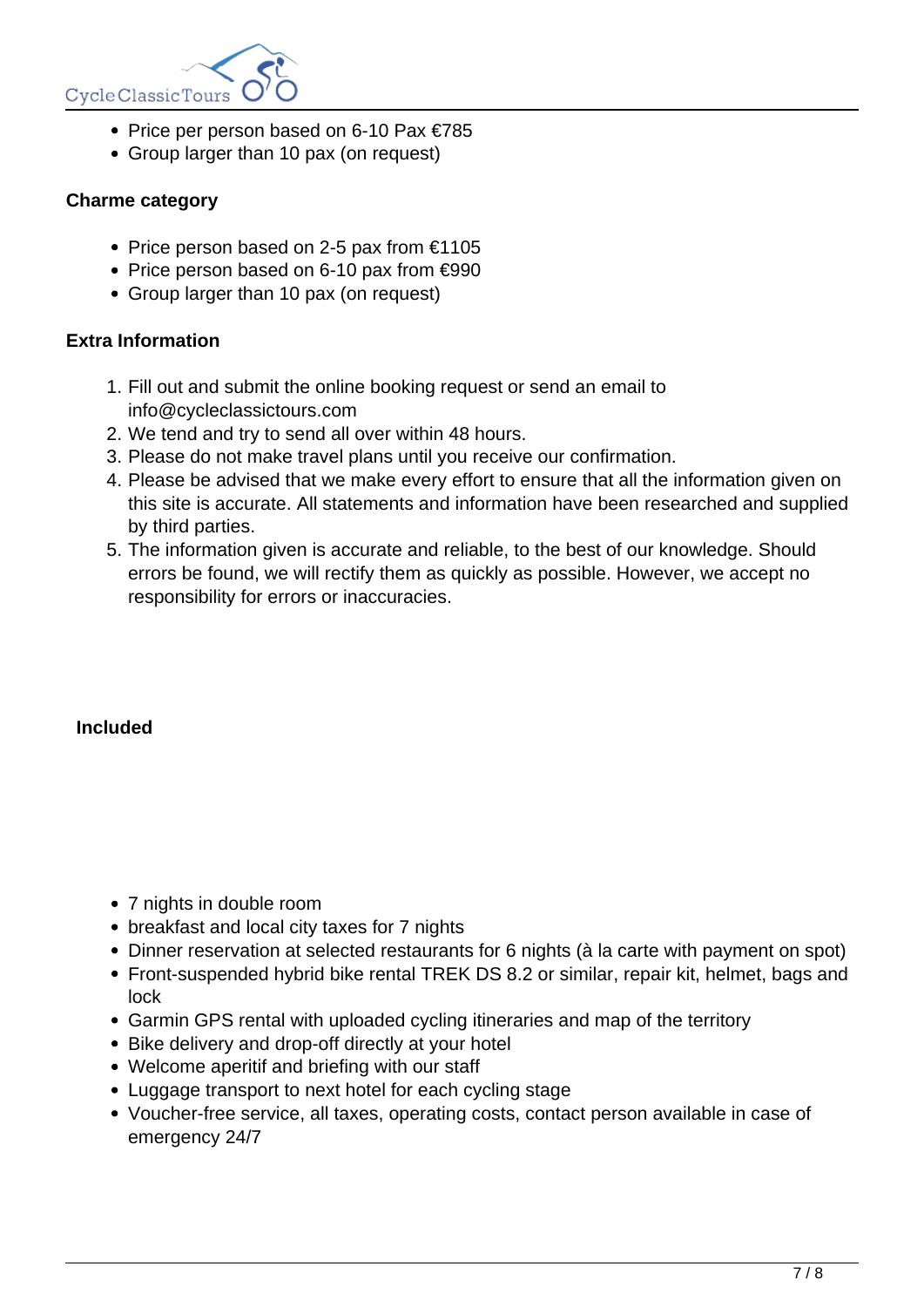

- Price per person based on 6-10 Pax €785
- Group larger than 10 pax (on request)

#### **Charme category**

- Price person based on 2-5 pax from  $€1105$
- Price person based on 6-10 pax from €990
- Group larger than 10 pax (on request)

#### **Extra Information**

- 1. Fill out and submit the online booking request or send an email to info@cycleclassictours.com
- 2. We tend and try to send all over within 48 hours.
- 3. Please do not make travel plans until you receive our confirmation.
- 4. Please be advised that we make every effort to ensure that all the information given on this site is accurate. All statements and information have been researched and supplied by third parties.
- 5. The information given is accurate and reliable, to the best of our knowledge. Should errors be found, we will rectify them as quickly as possible. However, we accept no responsibility for errors or inaccuracies.

#### **Included**

- 7 nights in double room
- breakfast and local city taxes for 7 nights
- Dinner reservation at selected restaurants for 6 nights (à la carte with payment on spot)
- Front-suspended hybrid bike rental TREK DS 8.2 or similar, repair kit, helmet, bags and lock
- Garmin GPS rental with uploaded cycling itineraries and map of the territory
- Bike delivery and drop-off directly at your hotel
- Welcome aperitif and briefing with our staff
- Luggage transport to next hotel for each cycling stage
- Voucher-free service, all taxes, operating costs, contact person available in case of emergency 24/7